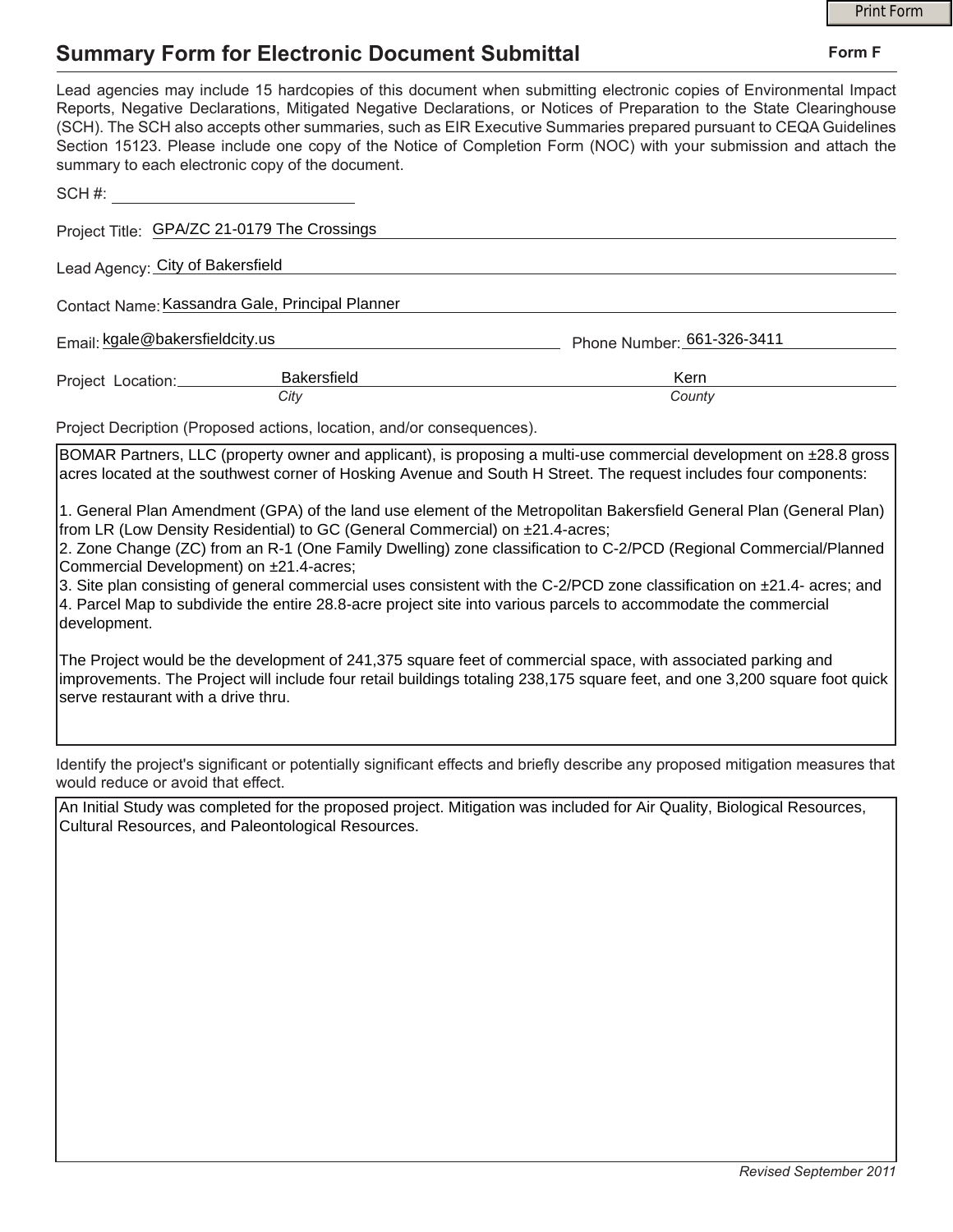## **Summary Form for Electronic Document Submittal**

|                                                         |                                                                              |                                                                                                                                                                                                                                                                                                                                                                                                                                                                                        | <b>Print Form</b> |  |
|---------------------------------------------------------|------------------------------------------------------------------------------|----------------------------------------------------------------------------------------------------------------------------------------------------------------------------------------------------------------------------------------------------------------------------------------------------------------------------------------------------------------------------------------------------------------------------------------------------------------------------------------|-------------------|--|
|                                                         | <b>Summary Form for Electronic Document Submittal</b>                        |                                                                                                                                                                                                                                                                                                                                                                                                                                                                                        | Form F            |  |
|                                                         | summary to each electronic copy of the document.                             | Lead agencies may include 15 hardcopies of this document when submitting electronic copies of Environmental Impact<br>Reports, Negative Declarations, Mitigated Negative Declarations, or Notices of Preparation to the State Clearinghouse<br>(SCH). The SCH also accepts other summaries, such as EIR Executive Summaries prepared pursuant to CEQA Guidelines<br>Section 15123. Please include one copy of the Notice of Completion Form (NOC) with your submission and attach the  |                   |  |
| SCH#:                                                   |                                                                              |                                                                                                                                                                                                                                                                                                                                                                                                                                                                                        |                   |  |
|                                                         | Project Title: GPA/ZC 21-0179 The Crossings                                  |                                                                                                                                                                                                                                                                                                                                                                                                                                                                                        |                   |  |
| Lead Agency: City of Bakersfield                        |                                                                              |                                                                                                                                                                                                                                                                                                                                                                                                                                                                                        |                   |  |
|                                                         | Contact Name: Kassandra Gale, Principal Planner                              |                                                                                                                                                                                                                                                                                                                                                                                                                                                                                        |                   |  |
| Email: kgale@bakersfieldcity.us                         |                                                                              | Phone Number: 661-326-3411                                                                                                                                                                                                                                                                                                                                                                                                                                                             |                   |  |
| Project Location:                                       | Bakersfield<br>City                                                          | Kern<br>County                                                                                                                                                                                                                                                                                                                                                                                                                                                                         |                   |  |
|                                                         | Project Decription (Proposed actions, location, and/or consequences).        |                                                                                                                                                                                                                                                                                                                                                                                                                                                                                        |                   |  |
|                                                         |                                                                              | BOMAR Partners, LLC (property owner and applicant), is proposing a multi-use commercial development on ±28.8 gross<br>acres located at the southwest corner of Hosking Avenue and South H Street. The request includes four components:                                                                                                                                                                                                                                                |                   |  |
| Commercial Development) on ±21.4-acres;<br>development. | from LR (Low Density Residential) to GC (General Commercial) on ±21.4-acres; | 1. General Plan Amendment (GPA) of the land use element of the Metropolitan Bakersfield General Plan (General Plan)<br>2. Zone Change (ZC) from an R-1 (One Family Dwelling) zone classification to C-2/PCD (Regional Commercial/Planned<br>3. Site plan consisting of general commercial uses consistent with the C-2/PCD zone classification on ±21.4- acres; and<br>4. Parcel Map to subdivide the entire 28.8-acre project site into various parcels to accommodate the commercial |                   |  |
| serve restaurant with a drive thru.                     |                                                                              | The Project would be the development of 241,375 square feet of commercial space, with associated parking and<br>improvements. The Project will include four retail buildings totaling 238,175 square feet, and one 3,200 square foot quick                                                                                                                                                                                                                                             |                   |  |
| would reduce or avoid that effect.                      |                                                                              | Identify the project's significant or potentially significant effects and briefly describe any proposed mitigation measures that                                                                                                                                                                                                                                                                                                                                                       |                   |  |
|                                                         | Cultural Resources, and Paleontological Resources.                           | An Initial Study was completed for the proposed project. Mitigation was included for Air Quality, Biological Resources,                                                                                                                                                                                                                                                                                                                                                                |                   |  |
|                                                         |                                                                              |                                                                                                                                                                                                                                                                                                                                                                                                                                                                                        |                   |  |